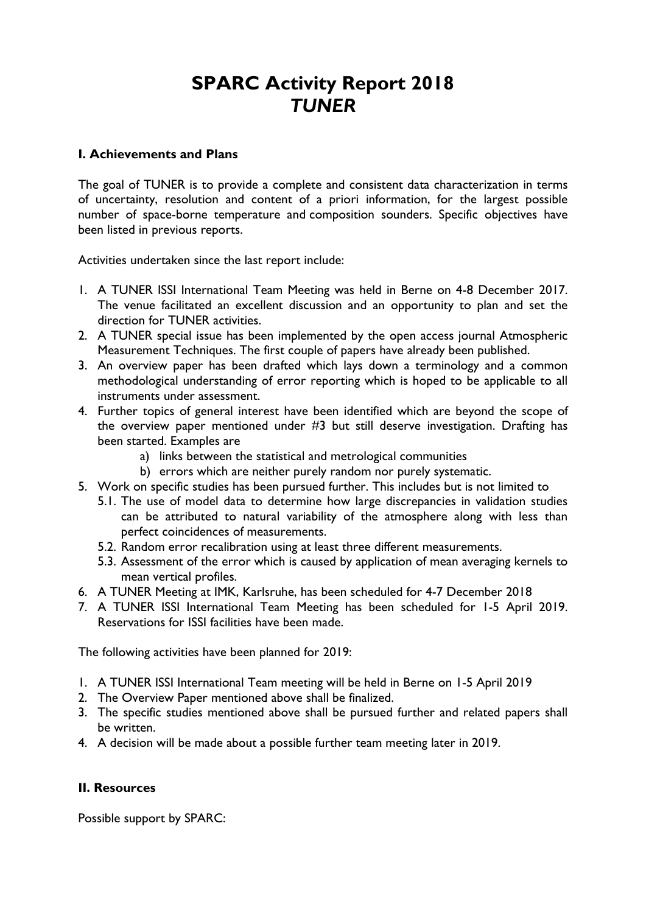# SPARC Activity Report 2018 *TUNER*

#### I. Achievements and Plans

The goal of TUNER is to provide a complete and consistent data characterization in terms of uncertainty, resolution and content of a priori information, for the largest possible number of space-borne temperature and composition sounders. Specific objectives have been listed in previous reports.

Activities undertaken since the last report include:

- 1. A TUNER ISSI International Team Meeting was held in Berne on 4-8 December 2017. The venue facilitated an excellent discussion and an opportunity to plan and set the direction for TUNER activities.
- 2. A TUNER special issue has been implemented by the open access journal Atmospheric Measurement Techniques. The first couple of papers have already been published.
- 3. An overview paper has been drafted which lays down a terminology and a common methodological understanding of error reporting which is hoped to be applicable to all instruments under assessment.
- 4. Further topics of general interest have been identified which are beyond the scope of the overview paper mentioned under #3 but still deserve investigation. Drafting has been started. Examples are
	- a) links between the statistical and metrological communities
	- b) errors which are neither purely random nor purely systematic.
- 5. Work on specific studies has been pursued further. This includes but is not limited to
	- 5.1. The use of model data to determine how large discrepancies in validation studies can be attributed to natural variability of the atmosphere along with less than perfect coincidences of measurements.
	- 5.2. Random error recalibration using at least three different measurements.
	- 5.3. Assessment of the error which is caused by application of mean averaging kernels to mean vertical profiles.
- 6. A TUNER Meeting at IMK, Karlsruhe, has been scheduled for 4-7 December 2018
- 7. A TUNER ISSI International Team Meeting has been scheduled for 1-5 April 2019. Reservations for ISSI facilities have been made.

The following activities have been planned for 2019:

- 1. A TUNER ISSI International Team meeting will be held in Berne on 1-5 April 2019
- 2. The Overview Paper mentioned above shall be finalized.
- 3. The specific studies mentioned above shall be pursued further and related papers shall be written.
- 4. A decision will be made about a possible further team meeting later in 2019.

### II. Resources

Possible support by SPARC: